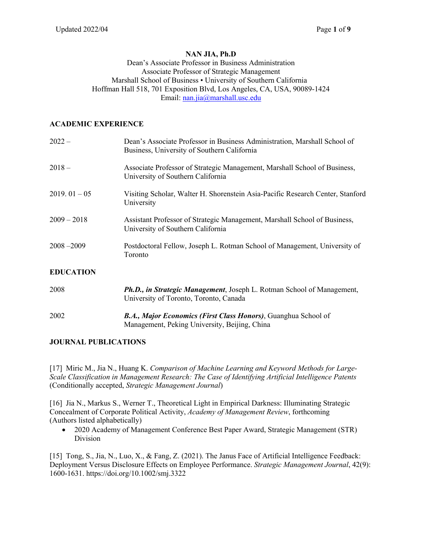#### **NAN JIA, Ph.D**

#### Dean's Associate Professor in Business Administration Associate Professor of Strategic Management Marshall School of Business • University of Southern California Hoffman Hall 518, 701 Exposition Blvd, Los Angeles, CA, USA, 90089-1424 Email: nan.jia@marshall.usc.edu

#### **ACADEMIC EXPERIENCE**

| $2022 -$         | Dean's Associate Professor in Business Administration, Marshall School of<br>Business, University of Southern California |
|------------------|--------------------------------------------------------------------------------------------------------------------------|
| $2018 -$         | Associate Professor of Strategic Management, Marshall School of Business,<br>University of Southern California           |
| $2019.01 - 05$   | Visiting Scholar, Walter H. Shorenstein Asia-Pacific Research Center, Stanford<br>University                             |
| $2009 - 2018$    | Assistant Professor of Strategic Management, Marshall School of Business,<br>University of Southern California           |
| $2008 - 2009$    | Postdoctoral Fellow, Joseph L. Rotman School of Management, University of<br>Toronto                                     |
| <b>EDUCATION</b> |                                                                                                                          |
| 2008             | <b>Ph.D., in Strategic Management</b> , Joseph L. Rotman School of Management,<br>University of Toronto, Toronto, Canada |
| 2002             | B.A., Major Economics (First Class Honors), Guanghua School of                                                           |

#### **JOURNAL PUBLICATIONS**

[17] Miric M., Jia N., Huang K. *Comparison of Machine Learning and Keyword Methods for Large-Scale Classification in Management Research: The Case of Identifying Artificial Intelligence Patents* (Conditionally accepted, *Strategic Management Journal*)

Management, Peking University, Beijing, China

[16] Jia N., Markus S., Werner T., Theoretical Light in Empirical Darkness: Illuminating Strategic Concealment of Corporate Political Activity, *Academy of Management Review*, forthcoming (Authors listed alphabetically)

• 2020 Academy of Management Conference Best Paper Award, Strategic Management (STR) Division

[15] Tong, S., Jia, N., Luo, X., & Fang, Z. (2021). The Janus Face of Artificial Intelligence Feedback: Deployment Versus Disclosure Effects on Employee Performance. *Strategic Management Journal*, 42(9): 1600-1631. https://doi.org/10.1002/smj.3322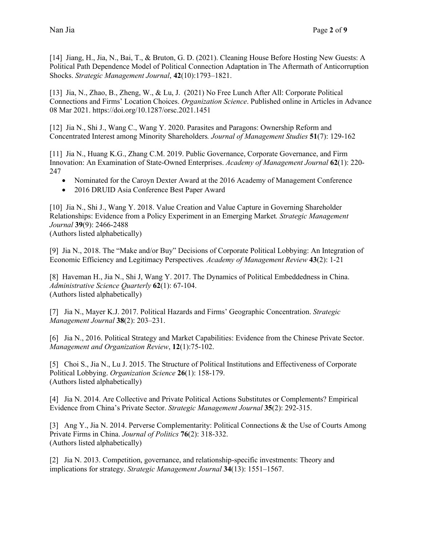[14] Jiang, H., Jia, N., Bai, T., & Bruton, G. D. (2021). Cleaning House Before Hosting New Guests: A Political Path Dependence Model of Political Connection Adaptation in The Aftermath of Anticorruption Shocks. *Strategic Management Journal*, **42**(10):1793–1821.

[13] Jia, N., Zhao, B., Zheng, W., & Lu, J. (2021) No Free Lunch After All: Corporate Political Connections and Firms' Location Choices. *Organization Science*. Published online in Articles in Advance 08 Mar 2021. https://doi.org/10.1287/orsc.2021.1451

[12] Jia N., Shi J., Wang C., Wang Y. 2020. Parasites and Paragons: Ownership Reform and Concentrated Interest among Minority Shareholders*. Journal of Management Studies* **51**(7): 129-162

[11] Jia N., Huang K.G., Zhang C.M. 2019. Public Governance, Corporate Governance, and Firm Innovation: An Examination of State-Owned Enterprises. *Academy of Management Journal* **62**(1): 220- 247

- Nominated for the Caroyn Dexter Award at the 2016 Academy of Management Conference
- 2016 DRUID Asia Conference Best Paper Award

[10] Jia N., Shi J., Wang Y. 2018. Value Creation and Value Capture in Governing Shareholder Relationships: Evidence from a Policy Experiment in an Emerging Market*. Strategic Management Journal* **39**(9): 2466-2488

(Authors listed alphabetically)

[9] Jia N., 2018. The "Make and/or Buy" Decisions of Corporate Political Lobbying: An Integration of Economic Efficiency and Legitimacy Perspectives*. Academy of Management Review* **43**(2): 1-21

[8] Haveman H., Jia N., Shi J, Wang Y. 2017. The Dynamics of Political Embeddedness in China. *Administrative Science Quarterly* **62**(1): 67-104. (Authors listed alphabetically)

[7] Jia N., Mayer K.J. 2017. Political Hazards and Firms' Geographic Concentration. *Strategic Management Journal* **38**(2): 203–231.

[6] Jia N., 2016. Political Strategy and Market Capabilities: Evidence from the Chinese Private Sector. *Management and Organization Review*, **12**(1):75-102.

[5] Choi S., Jia N., Lu J. 2015. The Structure of Political Institutions and Effectiveness of Corporate Political Lobbying. *Organization Science* **26**(1): 158-179. (Authors listed alphabetically)

[4] Jia N. 2014. Are Collective and Private Political Actions Substitutes or Complements? Empirical Evidence from China's Private Sector. *Strategic Management Journal* **35**(2): 292-315.

[3] Ang Y., Jia N. 2014. Perverse Complementarity: Political Connections & the Use of Courts Among Private Firms in China. *Journal of Politics* **76**(2): 318-332. (Authors listed alphabetically)

[2] Jia N. 2013. Competition, governance, and relationship-specific investments: Theory and implications for strategy. *Strategic Management Journal* **34**(13): 1551–1567.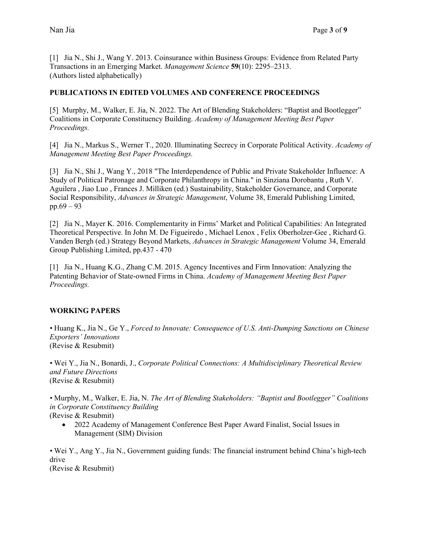[1] Jia N., Shi J., Wang Y. 2013. Coinsurance within Business Groups: Evidence from Related Party Transactions in an Emerging Market. *Management Science* **59**(10): 2295–2313. (Authors listed alphabetically)

#### **PUBLICATIONS IN EDITED VOLUMES AND CONFERENCE PROCEEDINGS**

[5] Murphy, M., Walker, E. Jia, N. 2022. The Art of Blending Stakeholders: "Baptist and Bootlegger" Coalitions in Corporate Constituency Building. *Academy of Management Meeting Best Paper Proceedings.*

[4] Jia N., Markus S., Werner T., 2020. Illuminating Secrecy in Corporate Political Activity. *Academy of Management Meeting Best Paper Proceedings.*

[3] Jia N., Shi J., Wang Y., 2018 "The Interdependence of Public and Private Stakeholder Influence: A Study of Political Patronage and Corporate Philanthropy in China." in Sinziana Dorobantu , Ruth V. Aguilera , Jiao Luo , Frances J. Milliken (ed.) Sustainability, Stakeholder Governance, and Corporate Social Responsibility, *Advances in Strategic Management*, Volume 38, Emerald Publishing Limited, pp.69 – 93

[2] Jia N., Mayer K. 2016. Complementarity in Firms' Market and Political Capabilities: An Integrated Theoretical Perspective. In John M. De Figueiredo , Michael Lenox , Felix Oberholzer-Gee , Richard G. Vanden Bergh (ed.) Strategy Beyond Markets, *Advances in Strategic Management* Volume 34, Emerald Group Publishing Limited, pp.437 - 470

[1] Jia N., Huang K.G., Zhang C.M. 2015. Agency Incentives and Firm Innovation: Analyzing the Patenting Behavior of State-owned Firms in China. *Academy of Management Meeting Best Paper Proceedings.* 

## **WORKING PAPERS**

*•* Huang K., Jia N., Ge Y., *Forced to Innovate: Consequence of U.S. Anti-Dumping Sanctions on Chinese Exporters' Innovations* (Revise & Resubmit)

*•* Wei Y., Jia N., Bonardi, J., *Corporate Political Connections: A Multidisciplinary Theoretical Review and Future Directions* (Revise & Resubmit)

*•* Murphy, M., Walker, E. Jia, N. *The Art of Blending Stakeholders: "Baptist and Bootlegger" Coalitions in Corporate Constituency Building*

(Revise & Resubmit)

• 2022 Academy of Management Conference Best Paper Award Finalist, Social Issues in Management (SIM) Division

*•* Wei Y., Ang Y., Jia N., Government guiding funds: The financial instrument behind China's high-tech drive

(Revise & Resubmit)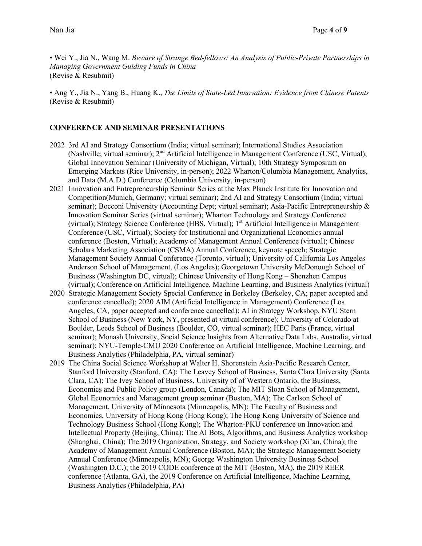*•* Wei Y., Jia N., Wang M. *Beware of Strange Bed-fellows: An Analysis of Public-Private Partnerships in Managing Government Guiding Funds in China* (Revise & Resubmit)

*•* Ang Y., Jia N., Yang B., Huang K., *The Limits of State-Led Innovation: Evidence from Chinese Patents* (Revise & Resubmit)

#### **CONFERENCE AND SEMINAR PRESENTATIONS**

- 2022 3rd AI and Strategy Consortium (India; virtual seminar); International Studies Association (Nashville; virtual seminar); 2nd Artificial Intelligence in Management Conference (USC, Virtual); Global Innovation Seminar (University of Michigan, Virtual); 10th Strategy Symposium on Emerging Markets (Rice University, in-person); 2022 Wharton/Columbia Management, Analytics, and Data (M.A.D.) Conference (Columbia University, in-person)
- 2021 Innovation and Entrepreneurship Seminar Series at the Max Planck Institute for Innovation and Competition(Munich, Germany; virtual seminar); 2nd AI and Strategy Consortium (India; virtual seminar); Bocconi University (Accounting Dept; virtual seminar); Asia-Pacific Entrepreneurship & Innovation Seminar Series (virtual seminar); Wharton Technology and Strategy Conference (virtual); Strategy Science Conference (HBS, Virtual); 1<sup>st</sup> Artificial Intelligence in Management Conference (USC, Virtual); Society for Institutional and Organizational Economics annual conference (Boston, Virtual); Academy of Management Annual Conference (virtual); Chinese Scholars Marketing Association (CSMA) Annual Conference, keynote speech; Strategic Management Society Annual Conference (Toronto, virtual); University of California Los Angeles Anderson School of Management, (Los Angeles); Georgetown University McDonough School of Business (Washington DC, virtual); Chinese University of Hong Kong – Shenzhen Campus (virtual); Conference on Artificial Intelligence, Machine Learning, and Business Analytics (virtual)
- 2020 Strategic Management Society Special Conference in Berkeley (Berkeley, CA; paper accepted and conference cancelled); 2020 AIM (Artificial Intelligence in Management) Conference (Los Angeles, CA, paper accepted and conference cancelled); AI in Strategy Workshop, NYU Stern School of Business (New York, NY, presented at virtual conference); University of Colorado at Boulder, Leeds School of Business (Boulder, CO, virtual seminar); HEC Paris (France, virtual seminar); Monash University, Social Science Insights from Alternative Data Labs, Australia, virtual seminar); NYU-Temple-CMU 2020 Conference on Artificial Intelligence, Machine Learning, and Business Analytics (Philadelphia, PA, virtual seminar)
- 2019 The China Social Science Workshop at Walter H. Shorenstein Asia-Pacific Research Center, Stanford University (Stanford, CA); The Leavey School of Business, Santa Clara University (Santa Clara, CA); The Ivey School of Business, University of of Western Ontario, the Business, Economics and Public Policy group (London, Canada); The MIT Sloan School of Management, Global Economics and Management group seminar (Boston, MA); The Carlson School of Management, University of Minnesota (Minneapolis, MN); The Faculty of Business and Economics, University of Hong Kong (Hong Kong); The Hong Kong University of Science and Technology Business School (Hong Kong); The Wharton-PKU conference on Innovation and Intellectual Property (Beijing, China); The AI Bots, Algorithms, and Business Analytics workshop (Shanghai, China); The 2019 Organization, Strategy, and Society workshop (Xi'an, China); the Academy of Management Annual Conference (Boston, MA); the Strategic Management Society Annual Conference (Minneapolis, MN); George Washington University Business School (Washington D.C.); the 2019 CODE conference at the MIT (Boston, MA), the 2019 REER conference (Atlanta, GA), the 2019 Conference on Artificial Intelligence, Machine Learning, Business Analytics (Philadelphia, PA)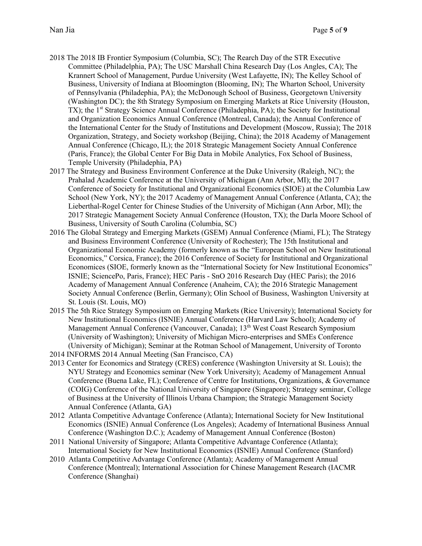- 2018 The 2018 IB Frontier Symposium (Columbia, SC); The Rearch Day of the STR Executive Committee (Philadelphia, PA); The USC Marshall China Research Day (Los Angles, CA); The Krannert School of Management, Purdue University (West Lafayette, IN); The Kelley School of Business, University of Indiana at Bloomington (Blooming, IN); The Wharton School, University of Pennsylvania (Philadephia, PA); the McDonough School of Business, Georgetown University (Washington DC); the 8th Strategy Symposium on Emerging Markets at Rice University (Houston, TX); the 1<sup>st</sup> Strategy Science Annual Conference (Philadephia, PA); the Society for Institutional and Organization Economics Annual Conference (Montreal, Canada); the Annual Conference of the International Center for the Study of Institutions and Development (Moscow, Russia); The 2018 Organization, Strategy, and Society workshop (Beijing, China); the 2018 Academy of Management Annual Conference (Chicago, IL); the 2018 Strategic Management Society Annual Conference (Paris, France); the Global Center For Big Data in Mobile Analytics, Fox School of Business, Temple University (Philadephia, PA)
- 2017 The Strategy and Business Environment Conference at the Duke University (Raleigh, NC); the Prahalad Academic Conference at the University of Michigan (Ann Arbor, MI); the 2017 Conference of Society for Institutional and Organizational Economics (SIOE) at the Columbia Law School (New York, NY); the 2017 Academy of Management Annual Conference (Atlanta, CA); the Lieberthal-Rogel Center for Chinese Studies of the University of Michigan (Ann Arbor, MI); the 2017 Strategic Management Society Annual Conference (Houston, TX); the Darla Moore School of Business, University of South Carolina (Columbia, SC)
- 2016 The Global Strategy and Emerging Markets (GSEM) Annual Conference (Miami, FL); The Strategy and Business Environment Conference (University of Rochester); The 15th Institutional and Organizational Economic Academy (formerly known as the "European School on New Institutional Economics," Corsica, France); the 2016 Conference of Society for Institutional and Organizational Economices (SIOE, formerly known as the "International Society for New Institutional Economics" ISNIE; SciencePo, Paris, France); HEC Paris - SnO 2016 Research Day (HEC Paris); the 2016 Academy of Management Annual Conference (Anaheim, CA); the 2016 Strategic Management Society Annual Conference (Berlin, Germany); Olin School of Business, Washington University at St. Louis (St. Louis, MO)
- 2015 The 5th Rice Strategy Symposium on Emerging Markets (Rice University); International Society for New Institutional Economics (ISNIE) Annual Conference (Harvard Law School); Academy of Management Annual Conference (Vancouver, Canada); 13<sup>th</sup> West Coast Research Symposium (University of Washington); University of Michigan Micro-enterprises and SMEs Conference (University of Michigan); Seminar at the Rotman School of Management, University of Toronto
- 2014 INFORMS 2014 Annual Meeting (San Francisco, CA)
- 2013 Center for Economics and Strategy (CRES) conference (Washington University at St. Louis); the NYU Strategy and Economics seminar (New York University); Academy of Management Annual Conference (Buena Lake, FL); Conference of Centre for Institutions, Organizations, & Governance (COIG) Conference of the National University of Singapore (Singapore); Strategy seminar, College of Business at the University of Illinois Urbana Champion; the Strategic Management Society Annual Conference (Atlanta, GA)
- 2012 Atlanta Competitive Advantage Conference (Atlanta); International Society for New Institutional Economics (ISNIE) Annual Conference (Los Angeles); Academy of International Business Annual Conference (Washington D.C.); Academy of Management Annual Conference (Boston)
- 2011 National University of Singapore; Atlanta Competitive Advantage Conference (Atlanta); International Society for New Institutional Economics (ISNIE) Annual Conference (Stanford)
- 2010 Atlanta Competitive Advantage Conference (Atlanta); Academy of Management Annual Conference (Montreal); International Association for Chinese Management Research (IACMR Conference (Shanghai)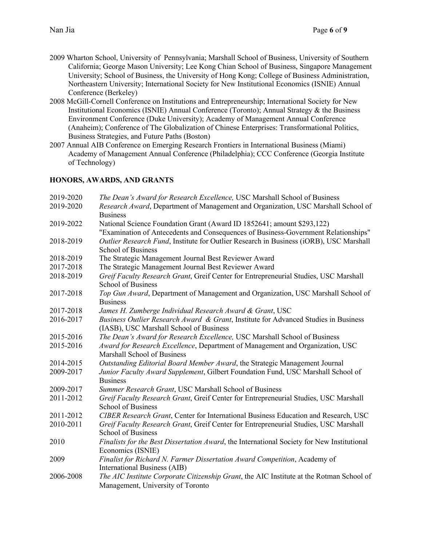- 2009 Wharton School, University of Pennsylvania; Marshall School of Business, University of Southern California; George Mason University; Lee Kong Chian School of Business, Singapore Management University; School of Business, the University of Hong Kong; College of Business Administration, Northeastern University; International Society for New Institutional Economics (ISNIE) Annual Conference (Berkeley)
- 2008 McGill-Cornell Conference on Institutions and Entrepreneurship; International Society for New Institutional Economics (ISNIE) Annual Conference (Toronto); Annual Strategy & the Business Environment Conference (Duke University); Academy of Management Annual Conference (Anaheim); Conference of The Globalization of Chinese Enterprises: Transformational Politics, Business Strategies, and Future Paths (Boston)
- 2007 Annual AIB Conference on Emerging Research Frontiers in International Business (Miami) Academy of Management Annual Conference (Philadelphia); CCC Conference (Georgia Institute of Technology)

# **HONORS, AWARDS, AND GRANTS**

| 2019-2020 | The Dean's Award for Research Excellence, USC Marshall School of Business                                                                                    |
|-----------|--------------------------------------------------------------------------------------------------------------------------------------------------------------|
| 2019-2020 | Research Award, Department of Management and Organization, USC Marshall School of<br><b>Business</b>                                                         |
| 2019-2022 | National Science Foundation Grant (Award ID 1852641; amount \$293,122)<br>"Examination of Antecedents and Consequences of Business-Government Relationships" |
| 2018-2019 | Outlier Research Fund, Institute for Outlier Research in Business (iORB), USC Marshall<br><b>School of Business</b>                                          |
| 2018-2019 | The Strategic Management Journal Best Reviewer Award                                                                                                         |
| 2017-2018 | The Strategic Management Journal Best Reviewer Award                                                                                                         |
| 2018-2019 | Greif Faculty Research Grant, Greif Center for Entrepreneurial Studies, USC Marshall<br><b>School of Business</b>                                            |
| 2017-2018 | Top Gun Award, Department of Management and Organization, USC Marshall School of<br><b>Business</b>                                                          |
| 2017-2018 | James H. Zumberge Individual Research Award & Grant, USC                                                                                                     |
| 2016-2017 | Business Outlier Research Award & Grant, Institute for Advanced Studies in Business<br>(IASB), USC Marshall School of Business                               |
| 2015-2016 | The Dean's Award for Research Excellence, USC Marshall School of Business                                                                                    |
| 2015-2016 | Award for Research Excellence, Department of Management and Organization, USC<br>Marshall School of Business                                                 |
| 2014-2015 | Outstanding Editorial Board Member Award, the Strategic Management Journal                                                                                   |
| 2009-2017 | Junior Faculty Award Supplement, Gilbert Foundation Fund, USC Marshall School of<br><b>Business</b>                                                          |
| 2009-2017 | Summer Research Grant, USC Marshall School of Business                                                                                                       |
| 2011-2012 | Greif Faculty Research Grant, Greif Center for Entrepreneurial Studies, USC Marshall<br><b>School of Business</b>                                            |
| 2011-2012 | CIBER Research Grant, Center for International Business Education and Research, USC                                                                          |
| 2010-2011 | Greif Faculty Research Grant, Greif Center for Entrepreneurial Studies, USC Marshall<br><b>School of Business</b>                                            |
| 2010      | Finalists for the Best Dissertation Award, the International Society for New Institutional<br>Economics (ISNIE)                                              |
| 2009      | Finalist for Richard N. Farmer Dissertation Award Competition, Academy of<br>International Business (AIB)                                                    |
| 2006-2008 | The AIC Institute Corporate Citizenship Grant, the AIC Institute at the Rotman School of<br>Management, University of Toronto                                |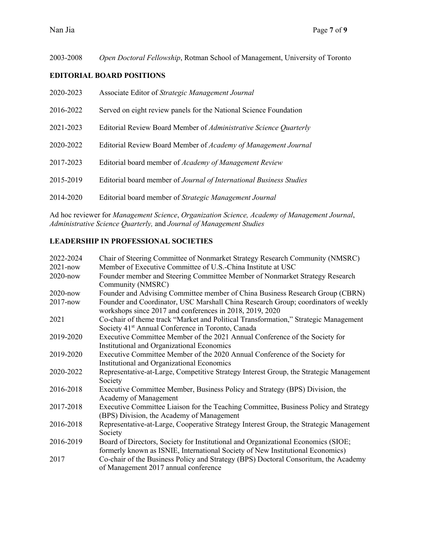2003-2008 *Open Doctoral Fellowship*, Rotman School of Management, University of Toronto

## **EDITORIAL BOARD POSITIONS**

| 2020-2023 | Associate Editor of Strategic Management Journal                    |
|-----------|---------------------------------------------------------------------|
| 2016-2022 | Served on eight review panels for the National Science Foundation   |
| 2021-2023 | Editorial Review Board Member of Administrative Science Quarterly   |
| 2020-2022 | Editorial Review Board Member of Academy of Management Journal      |
| 2017-2023 | Editorial board member of <i>Academy of Management Review</i>       |
| 2015-2019 | Editorial board member of Journal of International Business Studies |
| 2014-2020 | Editorial board member of Strategic Management Journal              |

Ad hoc reviewer for *Management Science*, *Organization Science, Academy of Management Journal*, *Administrative Science Quarterly,* and *Journal of Management Studies*

## **LEADERSHIP IN PROFESSIONAL SOCIETIES**

| 2022-2024    | Chair of Steering Committee of Nonmarket Strategy Research Community (NMSRC)                                                                                        |
|--------------|---------------------------------------------------------------------------------------------------------------------------------------------------------------------|
| $2021 - now$ | Member of Executive Committee of U.S.-China Institute at USC                                                                                                        |
| $2020$ -now  | Founder member and Steering Committee Member of Nonmarket Strategy Research<br>Community (NMSRC)                                                                    |
| $2020$ -now  | Founder and Advising Committee member of China Business Research Group (CBRN)                                                                                       |
| $2017 - now$ | Founder and Coordinator, USC Marshall China Research Group; coordinators of weekly<br>workshops since 2017 and conferences in 2018, 2019, 2020                      |
| 2021         | Co-chair of theme track "Market and Political Transformation," Strategic Management<br>Society 41 <sup>st</sup> Annual Conference in Toronto, Canada                |
| 2019-2020    | Executive Committee Member of the 2021 Annual Conference of the Society for<br><b>Institutional and Organizational Economics</b>                                    |
| 2019-2020    | Executive Committee Member of the 2020 Annual Conference of the Society for<br>Institutional and Organizational Economics                                           |
| 2020-2022    | Representative-at-Large, Competitive Strategy Interest Group, the Strategic Management<br>Society                                                                   |
| 2016-2018    | Executive Committee Member, Business Policy and Strategy (BPS) Division, the<br>Academy of Management                                                               |
| 2017-2018    | Executive Committee Liaison for the Teaching Committee, Business Policy and Strategy<br>(BPS) Division, the Academy of Management                                   |
| 2016-2018    | Representative-at-Large, Cooperative Strategy Interest Group, the Strategic Management<br>Society                                                                   |
| 2016-2019    | Board of Directors, Society for Institutional and Organizational Economics (SIOE;<br>formerly known as ISNIE, International Society of New Institutional Economics) |
| 2017         | Co-chair of the Business Policy and Strategy (BPS) Doctoral Consoritum, the Academy<br>of Management 2017 annual conference                                         |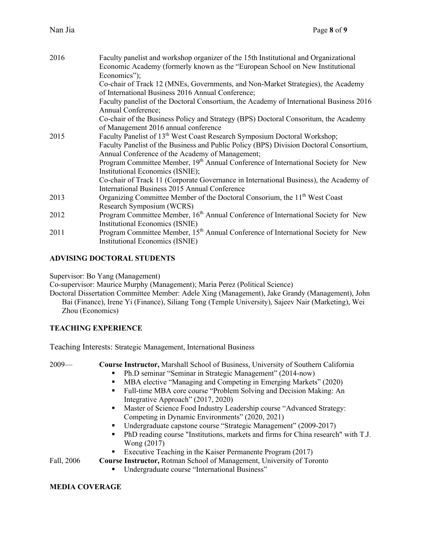| 2016 | Faculty panelist and workshop organizer of the 15th Institutional and Organizational          |
|------|-----------------------------------------------------------------------------------------------|
|      | Economic Academy (formerly known as the "European School on New Institutional                 |
|      | Economics");                                                                                  |
|      | Co-chair of Track 12 (MNEs, Governments, and Non-Market Strategies), the Academy              |
|      | of International Business 2016 Annual Conference;                                             |
|      | Faculty panelist of the Doctoral Consortium, the Academy of International Business 2016       |
|      | Annual Conference;                                                                            |
|      | Co-chair of the Business Policy and Strategy (BPS) Doctoral Consoritum, the Academy           |
|      | of Management 2016 annual conference                                                          |
| 2015 | Faculty Panelist of 13 <sup>th</sup> West Coast Research Symposium Doctoral Workshop;         |
|      | Faculty Panelist of the Business and Public Policy (BPS) Division Doctoral Consortium,        |
|      | Annual Conference of the Academy of Management;                                               |
|      | Program Committee Member, 19 <sup>th</sup> Annual Conference of International Society for New |
|      | Institutional Economics (ISNIE);                                                              |
|      | Co-chair of Track 11 (Corporate Governance in International Business), the Academy of         |
|      | International Business 2015 Annual Conference                                                 |
| 2013 | Organizing Committee Member of the Doctoral Consorium, the 11 <sup>th</sup> West Coast        |
|      | Research Symposium (WCRS)                                                                     |
| 2012 | Program Committee Member, 16 <sup>th</sup> Annual Conference of International Society for New |
|      | <b>Institutional Economics (ISNIE)</b>                                                        |
| 2011 | Program Committee Member, 15 <sup>th</sup> Annual Conference of International Society for New |
|      | <b>Institutional Economics (ISNIE)</b>                                                        |

## **ADVISING DOCTORAL STUDENTS**

Supervisor: Bo Yang (Management)

Co-supervisor: Maurice Murphy (Management); Maria Perez (Political Science)

Doctoral Dissertation Committee Member: Adele Xing (Management), Jake Grandy (Management), John Bai (Finance), Irene Yi (Finance), Siliang Tong (Temple University), Sajeev Nair (Marketing), Wei Zhou (Economics)

# **TEACHING EXPERIENCE**

Teaching Interests: Strategic Management, International Business

2009— **Course Instructor,** Marshall School of Business, University of Southern California

- § Ph.D seminar "Seminar in Strategic Management" (2014-now)
- MBA elective "Managing and Competing in Emerging Markets" (2020)
- Full-time MBA core course "Problem Solving and Decision Making: An Integrative Approach" (2017, 2020)
- Master of Science Food Industry Leadership course "Advanced Strategy: Competing in Dynamic Environments" (2020, 2021)
- Undergraduate capstone course "Strategic Management" (2009-2017)
- § PhD reading course "Institutions, markets and firms for China research" with T.J. Wong (2017)
- § Executive Teaching in the Kaiser Permanente Program (2017)

Fall, 2006 **Course Instructor,** Rotman School of Management, University of Toronto

■ Undergraduate course "International Business"

# **MEDIA COVERAGE**